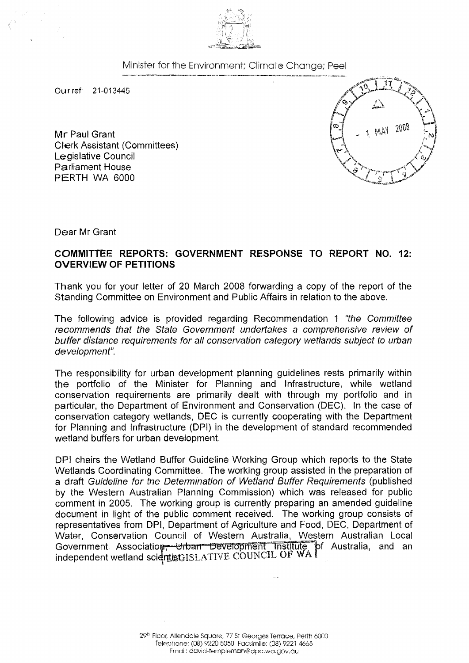

Minister for the Environment; Climate Change; Peel

Our ref: 21-013445

Mr Paul Grant Clerk Assistant (Committees) Legislative Council Parliament House PERTH WA 6000



Dear Mr Grant

## COMMITTEE REPORTS: GOVERNMENT RESPONSE TO REPORT NO. 12: OVERVIEW OF PETITIONS

Thank you for your letter of 20 March 2008 forwarding a copy of the report of the Standing Committee on Environment and Public Affairs in relation to the above.

The following advice is provided regarding Recommendation 1 "the Committee recommends that the State Government undertakes a comprehensive review of buffer distance requirements for all conservation category wetlands subject to urban development".

The responsibility for urban development planning guidelines rests primarily within the portfolio of the Minister for Planning and Infrastructure, while wetland conservation requirements are primarily dealt with through my portfolio and in particular, the Department of Environment and Conservation (DEC). In the case of conservation category wetlands, DEC is currently cooperating with the Department for Planning and Infrastructure (DPI) in the development of standard recommended wetland buffers for urban development.

DPI chairs the Wetland Buffer Guideline Working Group which reports to the State Wetlands Coordinating Committee. The working group assisted in the preparation of a draft Guideline for the Determination of Wetland Buffer Requirements (published by the Western Australian Planning Commission) which was released for public comment in 2005. The working group is currently preparing an amended guideline document in light of the public comment received. The working group consists of representatives from DPI, Department of Agriculture and Food, DEC, Department of Water, Conservation Council of Western Australia, Western Australian Local Government Association<del>, Urbarn Development Institute</del> of Australia, and an  $i$ ndependent wetland scientist $GISLATIVE$  COUNCIL OF WA